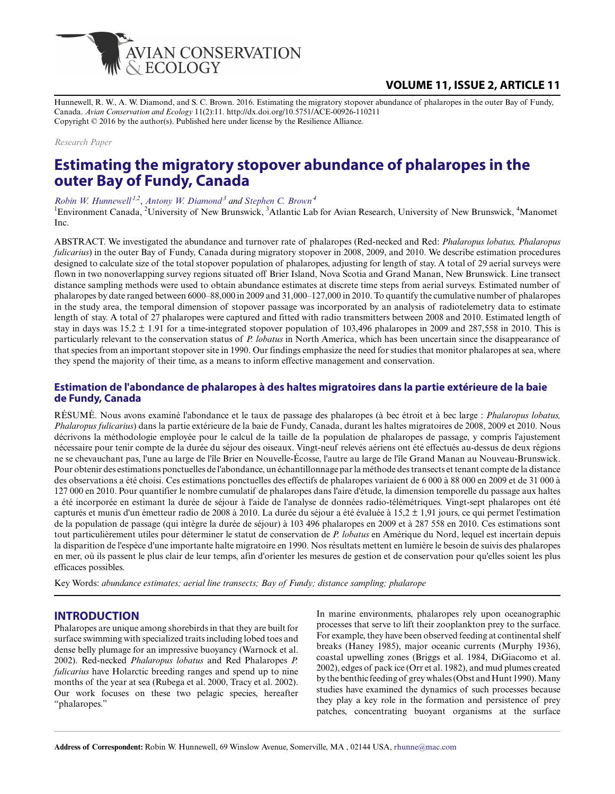

## **VOLUME 11, ISSUE 2, ARTICLE 11**

Hunnewell, R. W., A. W. Diamond, and S. C. Brown. 2016. Estimating the migratory stopover abundance of phalaropes in the outer Bay of Fundy, Canada. *Avian Conservation and Ecology* 11(2):11. http://dx.doi.org/10.5751/ACE-00926-110211 Copyright © 2016 by the author(s). Published here under license by the Resilience Alliance.

#### *Research Paper*

# **Estimating the migratory stopover abundance of phalaropes in the outer Bay of Fundy, Canada**

#### *[Robin W. Hunnewell](mailto:rhunne@mac.com) 1,2* , *[Antony W. Diamond](mailto:diamond@unb.ca)<sup>3</sup> and [Stephen C. Brown](mailto:sbrown@manomet.org)<sup>4</sup>*

<sup>1</sup>Environment Canada, <sup>2</sup>University of New Brunswick, <sup>3</sup>Atlantic Lab for Avian Research, University of New Brunswick, <sup>4</sup>Manomet Inc.

ABSTRACT. We investigated the abundance and turnover rate of phalaropes (Red-necked and Red: *Phalaropus lobatus, Phalaropus fulicarius*) in the outer Bay of Fundy, Canada during migratory stopover in 2008, 2009, and 2010. We describe estimation procedures designed to calculate size of the total stopover population of phalaropes, adjusting for length of stay. A total of 29 aerial surveys were flown in two nonoverlapping survey regions situated off Brier Island, Nova Scotia and Grand Manan, New Brunswick. Line transect distance sampling methods were used to obtain abundance estimates at discrete time steps from aerial surveys. Estimated number of phalaropes by date ranged between 6000–88,000 in 2009 and 31,000–127,000 in 2010. To quantify the cumulative number of phalaropes in the study area, the temporal dimension of stopover passage was incorporated by an analysis of radiotelemetry data to estimate length of stay. A total of 27 phalaropes were captured and fitted with radio transmitters between 2008 and 2010. Estimated length of stay in days was  $15.2 \pm 1.91$  for a time-integrated stopover population of 103,496 phalaropes in 2009 and 287,558 in 2010. This is particularly relevant to the conservation status of *P. lobatus* in North America, which has been uncertain since the disappearance of that species from an important stopover site in 1990. Our findings emphasize the need for studies that monitor phalaropes at sea, where they spend the majority of their time, as a means to inform effective management and conservation.

#### **Estimation de l'abondance de phalaropes à des haltes migratoires dans la partie extérieure de la baie de Fundy, Canada**

RÉSUMÉ. Nous avons examiné l'abondance et le taux de passage des phalaropes (à bec étroit et à bec large : *Phalaropus lobatus, Phalaropus fulicarius*) dans la partie extérieure de la baie de Fundy, Canada, durant les haltes migratoires de 2008, 2009 et 2010. Nous décrivons la méthodologie employée pour le calcul de la taille de la population de phalaropes de passage, y compris l'ajustement nécessaire pour tenir compte de la durée du séjour des oiseaux. Vingt-neuf relevés aériens ont été effectués au-dessus de deux régions ne se chevauchant pas, l'une au large de l'île Brier en Nouvelle-Écosse, l'autre au large de l'île Grand Manan au Nouveau-Brunswick. Pour obtenir des estimations ponctuelles de l'abondance, un échantillonnage par la méthode des transects et tenant compte de la distance des observations a été choisi. Ces estimations ponctuelles des effectifs de phalaropes variaient de 6 000 à 88 000 en 2009 et de 31 000 à 127 000 en 2010. Pour quantifier le nombre cumulatif de phalaropes dans l'aire d'étude, la dimension temporelle du passage aux haltes a été incorporée en estimant la durée de séjour à l'aide de l'analyse de données radio-télémétriques. Vingt-sept phalaropes ont été capturés et munis d'un émetteur radio de 2008 à 2010. La durée du séjour a été évaluée à 15,2  $\pm$  1,91 jours, ce qui permet l'estimation de la population de passage (qui intègre la durée de séjour) à 103 496 phalaropes en 2009 et à 287 558 en 2010. Ces estimations sont tout particulièrement utiles pour déterminer le statut de conservation de *P. lobatus* en Amérique du Nord, lequel est incertain depuis la disparition de l'espèce d'une importante halte migratoire en 1990. Nos résultats mettent en lumière le besoin de suivis des phalaropes en mer, où ils passent le plus clair de leur temps, afin d'orienter les mesures de gestion et de conservation pour qu'elles soient les plus efficaces possibles.

Key Words: *abundance estimates; aerial line transects; Bay of Fundy; distance sampling; phalarope*

## **INTRODUCTION**

Phalaropes are unique among shorebirds in that they are built for surface swimming with specialized traits including lobed toes and dense belly plumage for an impressive buoyancy (Warnock et al. 2002). Red-necked *Phalaropus lobatus* and Red Phalaropes *P. fulicarius* have Holarctic breeding ranges and spend up to nine months of the year at sea (Rubega et al. 2000, Tracy et al. 2002). Our work focuses on these two pelagic species, hereafter "phalaropes."

In marine environments, phalaropes rely upon oceanographic processes that serve to lift their zooplankton prey to the surface. For example, they have been observed feeding at continental shelf breaks (Haney 1985), major oceanic currents (Murphy 1936), coastal upwelling zones (Briggs et al. 1984, DiGiacomo et al. 2002), edges of pack ice (Orr et al. 1982), and mud plumes created by the benthic feeding of grey whales (Obst and Hunt 1990). Many studies have examined the dynamics of such processes because they play a key role in the formation and persistence of prey patches, concentrating buoyant organisms at the surface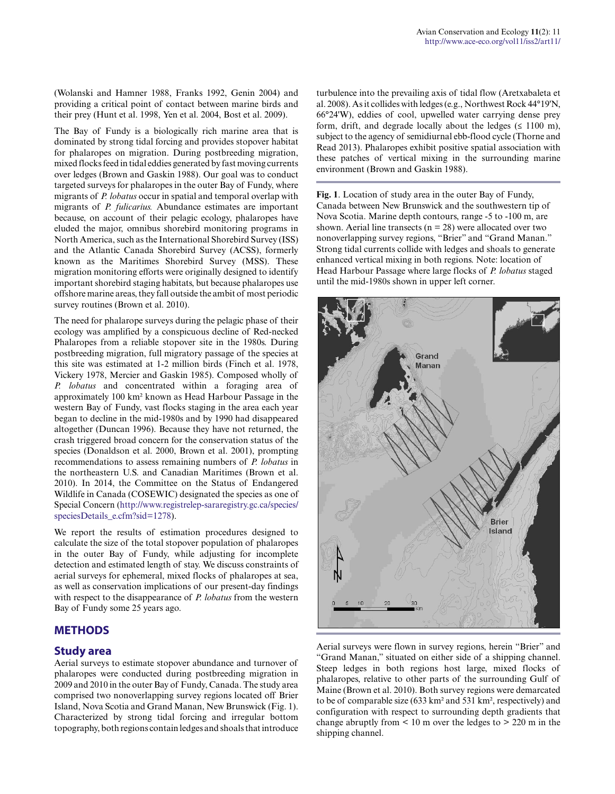(Wolanski and Hamner 1988, Franks 1992, Genin 2004) and providing a critical point of contact between marine birds and their prey (Hunt et al. 1998, Yen et al. 2004, Bost et al. 2009).

The Bay of Fundy is a biologically rich marine area that is dominated by strong tidal forcing and provides stopover habitat for phalaropes on migration. During postbreeding migration, mixed flocks feed in tidal eddies generated by fast moving currents over ledges (Brown and Gaskin 1988). Our goal was to conduct targeted surveys for phalaropes in the outer Bay of Fundy, where migrants of *P. lobatus* occur in spatial and temporal overlap with migrants of *P. fulicarius.* Abundance estimates are important because, on account of their pelagic ecology, phalaropes have eluded the major, omnibus shorebird monitoring programs in North America, such as the International Shorebird Survey (ISS) and the Atlantic Canada Shorebird Survey (ACSS), formerly known as the Maritimes Shorebird Survey (MSS). These migration monitoring efforts were originally designed to identify important shorebird staging habitats, but because phalaropes use offshore marine areas, they fall outside the ambit of most periodic survey routines (Brown et al. 2010).

The need for phalarope surveys during the pelagic phase of their ecology was amplified by a conspicuous decline of Red-necked Phalaropes from a reliable stopover site in the 1980s. During postbreeding migration, full migratory passage of the species at this site was estimated at 1-2 million birds (Finch et al. 1978, Vickery 1978, Mercier and Gaskin 1985). Composed wholly of *P. lobatus* and concentrated within a foraging area of approximately 100 km² known as Head Harbour Passage in the western Bay of Fundy, vast flocks staging in the area each year began to decline in the mid-1980s and by 1990 had disappeared altogether (Duncan 1996). Because they have not returned, the crash triggered broad concern for the conservation status of the species (Donaldson et al. 2000, Brown et al. 2001), prompting recommendations to assess remaining numbers of *P. lobatus* in the northeastern U.S. and Canadian Maritimes (Brown et al. 2010). In 2014, the Committee on the Status of Endangered Wildlife in Canada (COSEWIC) designated the species as one of Special Concern [\(http://www.registrelep-sararegistry.gc.ca/species/](http://www.registrelep-sararegistry.gc.ca/species/speciesDetails_e.cfm?sid=1278) [speciesDetails\\_e.cfm?sid=1278](http://www.registrelep-sararegistry.gc.ca/species/speciesDetails_e.cfm?sid=1278)).

We report the results of estimation procedures designed to calculate the size of the total stopover population of phalaropes in the outer Bay of Fundy, while adjusting for incomplete detection and estimated length of stay. We discuss constraints of aerial surveys for ephemeral, mixed flocks of phalaropes at sea, as well as conservation implications of our present-day findings with respect to the disappearance of *P. lobatus* from the western Bay of Fundy some 25 years ago.

#### **METHODS**

#### **Study area**

Aerial surveys to estimate stopover abundance and turnover of phalaropes were conducted during postbreeding migration in 2009 and 2010 in the outer Bay of Fundy, Canada. The study area comprised two nonoverlapping survey regions located off Brier Island, Nova Scotia and Grand Manan, New Brunswick (Fig. 1). Characterized by strong tidal forcing and irregular bottom topography, both regions contain ledges and shoals that introduce turbulence into the prevailing axis of tidal flow (Aretxabaleta et al. 2008). As it collides with ledges (e.g., Northwest Rock 44°19'N, 66°24'W), eddies of cool, upwelled water carrying dense prey form, drift, and degrade locally about the ledges  $(\leq 1100 \text{ m})$ , subject to the agency of semidiurnal ebb-flood cycle (Thorne and Read 2013). Phalaropes exhibit positive spatial association with these patches of vertical mixing in the surrounding marine environment (Brown and Gaskin 1988).

**Fig. 1**. Location of study area in the outer Bay of Fundy, Canada between New Brunswick and the southwestern tip of Nova Scotia. Marine depth contours, range -5 to -100 m, are shown. Aerial line transects ( $n = 28$ ) were allocated over two nonoverlapping survey regions, "Brier" and "Grand Manan." Strong tidal currents collide with ledges and shoals to generate enhanced vertical mixing in both regions. Note: location of Head Harbour Passage where large flocks of *P. lobatus* staged until the mid-1980s shown in upper left corner.



Aerial surveys were flown in survey regions, herein "Brier" and "Grand Manan," situated on either side of a shipping channel. Steep ledges in both regions host large, mixed flocks of phalaropes, relative to other parts of the surrounding Gulf of Maine (Brown et al. 2010). Both survey regions were demarcated to be of comparable size (633 km² and 531 km², respectively) and configuration with respect to surrounding depth gradients that change abruptly from  $\leq 10$  m over the ledges to  $> 220$  m in the shipping channel.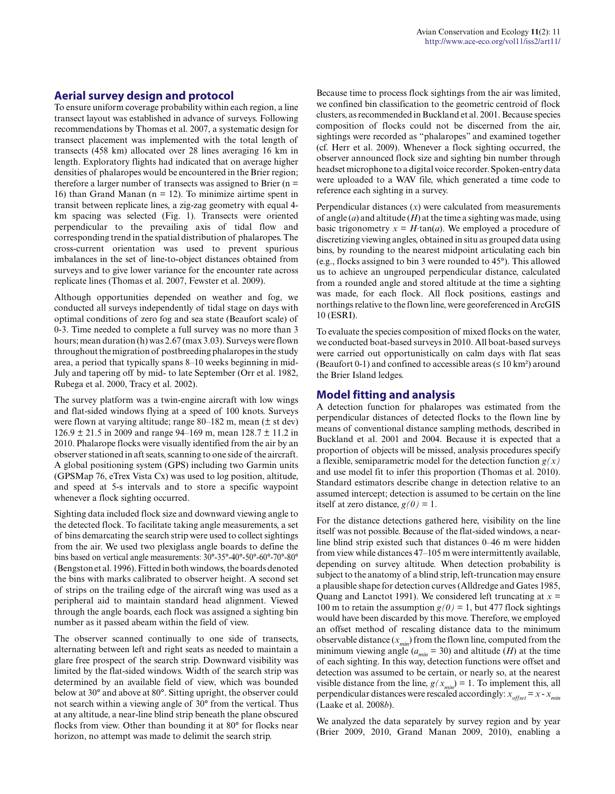#### **Aerial survey design and protocol**

To ensure uniform coverage probability within each region, a line transect layout was established in advance of surveys. Following recommendations by Thomas et al. 2007, a systematic design for transect placement was implemented with the total length of transects (458 km) allocated over 28 lines averaging 16 km in length. Exploratory flights had indicated that on average higher densities of phalaropes would be encountered in the Brier region; therefore a larger number of transects was assigned to Brier  $(n =$ 16) than Grand Manan ( $n = 12$ ). To minimize airtime spent in transit between replicate lines, a zig-zag geometry with equal 4 km spacing was selected (Fig. 1). Transects were oriented perpendicular to the prevailing axis of tidal flow and corresponding trend in the spatial distribution of phalaropes. The cross-current orientation was used to prevent spurious imbalances in the set of line-to-object distances obtained from surveys and to give lower variance for the encounter rate across replicate lines (Thomas et al. 2007, Fewster et al. 2009).

Although opportunities depended on weather and fog, we conducted all surveys independently of tidal stage on days with optimal conditions of zero fog and sea state (Beaufort scale) of 0-3. Time needed to complete a full survey was no more than 3 hours; mean duration (h) was 2.67 (max 3.03). Surveys were flown throughout the migration of postbreeding phalaropes in the study area, a period that typically spans 8–10 weeks beginning in mid-July and tapering off by mid- to late September (Orr et al. 1982, Rubega et al. 2000, Tracy et al. 2002).

The survey platform was a twin-engine aircraft with low wings and flat-sided windows flying at a speed of 100 knots. Surveys were flown at varying altitude; range 80–182 m, mean (± st dev) 126.9 ± 21.5 in 2009 and range 94–169 m, mean 128.7 ± 11.2 in 2010. Phalarope flocks were visually identified from the air by an observer stationed in aft seats, scanning to one side of the aircraft. A global positioning system (GPS) including two Garmin units (GPSMap 76, eTrex Vista Cx) was used to log position, altitude, and speed at 5-s intervals and to store a specific waypoint whenever a flock sighting occurred.

Sighting data included flock size and downward viewing angle to the detected flock. To facilitate taking angle measurements, a set of bins demarcating the search strip were used to collect sightings from the air. We used two plexiglass angle boards to define the bins based on vertical angle measurements: 30°-35°-40°-50°-60°-70°-80° (Bengston et al. 1996). Fitted in both windows, the boards denoted the bins with marks calibrated to observer height. A second set of strips on the trailing edge of the aircraft wing was used as a peripheral aid to maintain standard head alignment. Viewed through the angle boards, each flock was assigned a sighting bin number as it passed abeam within the field of view.

The observer scanned continually to one side of transects, alternating between left and right seats as needed to maintain a glare free prospect of the search strip. Downward visibility was limited by the flat-sided windows. Width of the search strip was determined by an available field of view, which was bounded below at 30° and above at 80°. Sitting upright, the observer could not search within a viewing angle of 30° from the vertical. Thus at any altitude, a near-line blind strip beneath the plane obscured flocks from view. Other than bounding it at 80° for flocks near horizon, no attempt was made to delimit the search strip.

Because time to process flock sightings from the air was limited, we confined bin classification to the geometric centroid of flock clusters, as recommended in Buckland et al. 2001. Because species composition of flocks could not be discerned from the air, sightings were recorded as "phalaropes" and examined together (cf. Herr et al. 2009). Whenever a flock sighting occurred, the observer announced flock size and sighting bin number through headset microphone to a digital voice recorder. Spoken-entry data were uploaded to a WAV file, which generated a time code to reference each sighting in a survey.

Perpendicular distances  $(x)$  were calculated from measurements of angle (*a*) and altitude (*H*) at the time a sighting was made, using basic trigonometry  $x = H \cdot \tan(a)$ . We employed a procedure of discretizing viewing angles, obtained in situ as grouped data using bins, by rounding to the nearest midpoint articulating each bin (e.g., flocks assigned to bin 3 were rounded to 45°). This allowed us to achieve an ungrouped perpendicular distance, calculated from a rounded angle and stored altitude at the time a sighting was made, for each flock. All flock positions, eastings and northings relative to the flown line, were georeferenced in ArcGIS 10 (ESRI).

To evaluate the species composition of mixed flocks on the water, we conducted boat-based surveys in 2010. All boat-based surveys were carried out opportunistically on calm days with flat seas (Beaufort 0-1) and confined to accessible areas ( $\leq 10 \text{ km}^2$ ) around the Brier Island ledges.

#### **Model fitting and analysis**

A detection function for phalaropes was estimated from the perpendicular distances of detected flocks to the flown line by means of conventional distance sampling methods, described in Buckland et al. 2001 and 2004. Because it is expected that a proportion of objects will be missed, analysis procedures specify a flexible, semiparametric model for the detection function *g(x)* and use model fit to infer this proportion (Thomas et al. 2010). Standard estimators describe change in detection relative to an assumed intercept; detection is assumed to be certain on the line itself at zero distance,  $g(0) = 1$ .

For the distance detections gathered here, visibility on the line itself was not possible. Because of the flat-sided windows, a nearline blind strip existed such that distances 0–46 m were hidden from view while distances 47–105 m were intermittently available, depending on survey altitude. When detection probability is subject to the anatomy of a blind strip, left-truncation may ensure a plausible shape for detection curves (Alldredge and Gates 1985, Quang and Lanctot 1991). We considered left truncating at *x* = 100 m to retain the assumption  $g(0) = 1$ , but 477 flock sightings would have been discarded by this move. Therefore, we employed an offset method of rescaling distance data to the minimum observable distance  $(x_{min})$  from the flown line, computed from the minimum viewing angle ( $a_{min} = 30$ ) and altitude (*H*) at the time of each sighting. In this way, detection functions were offset and detection was assumed to be certain, or nearly so, at the nearest visible distance from the line,  $g(x_{min}) = 1$ . To implement this, all perpendicular distances were rescaled accordingly:  $x_{offset} = x - x_{min}$ (Laake et al. 2008*b*).

We analyzed the data separately by survey region and by year (Brier 2009, 2010, Grand Manan 2009, 2010), enabling a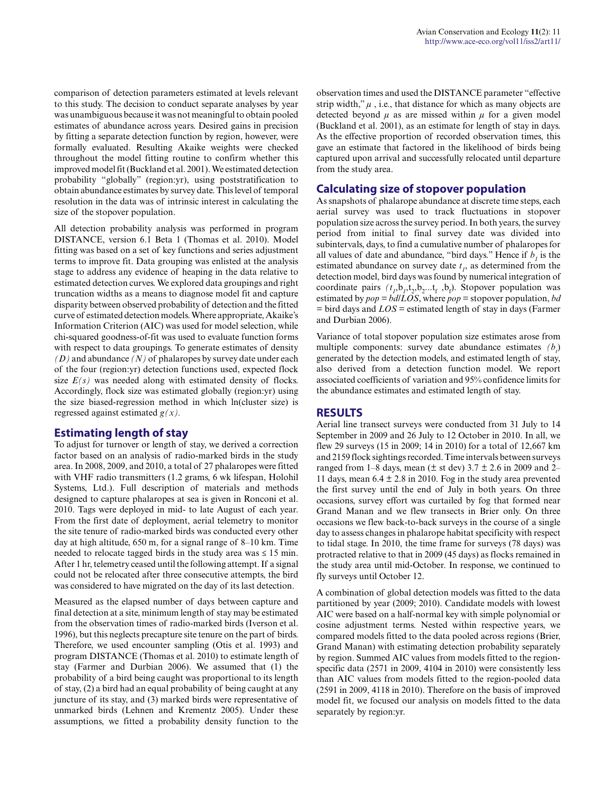comparison of detection parameters estimated at levels relevant to this study. The decision to conduct separate analyses by year was unambiguous because it was not meaningful to obtain pooled estimates of abundance across years. Desired gains in precision by fitting a separate detection function by region, however, were formally evaluated. Resulting Akaike weights were checked throughout the model fitting routine to confirm whether this improved model fit (Buckland et al. 2001). We estimated detection probability "globally" (region:yr), using poststratification to obtain abundance estimates by survey date. This level of temporal resolution in the data was of intrinsic interest in calculating the size of the stopover population.

All detection probability analysis was performed in program DISTANCE, version 6.1 Beta 1 (Thomas et al. 2010). Model fitting was based on a set of key functions and series adjustment terms to improve fit. Data grouping was enlisted at the analysis stage to address any evidence of heaping in the data relative to estimated detection curves. We explored data groupings and right truncation widths as a means to diagnose model fit and capture disparity between observed probability of detection and the fitted curve of estimated detection models. Where appropriate, Akaike's Information Criterion (AIC) was used for model selection, while chi-squared goodness-of-fit was used to evaluate function forms with respect to data groupings. To generate estimates of density *(D)* and abundance *(N)* of phalaropes by survey date under each of the four (region:yr) detection functions used, expected flock size  $E(s)$  was needed along with estimated density of flocks. Accordingly, flock size was estimated globally (region:yr) using the size biased-regression method in which ln(cluster size) is regressed against estimated *g(x).*

## **Estimating length of stay**

To adjust for turnover or length of stay, we derived a correction factor based on an analysis of radio-marked birds in the study area. In 2008, 2009, and 2010, a total of 27 phalaropes were fitted with VHF radio transmitters (1.2 grams, 6 wk lifespan, Holohil Systems, Ltd.). Full description of materials and methods designed to capture phalaropes at sea is given in Ronconi et al. 2010. Tags were deployed in mid- to late August of each year. From the first date of deployment, aerial telemetry to monitor the site tenure of radio-marked birds was conducted every other day at high altitude, 650 m, for a signal range of 8–10 km. Time needed to relocate tagged birds in the study area was  $\leq 15$  min. After 1 hr, telemetry ceased until the following attempt. If a signal could not be relocated after three consecutive attempts, the bird was considered to have migrated on the day of its last detection.

Measured as the elapsed number of days between capture and final detection at a site, minimum length of stay may be estimated from the observation times of radio-marked birds (Iverson et al. 1996), but this neglects precapture site tenure on the part of birds. Therefore, we used encounter sampling (Otis et al. 1993) and program DISTANCE (Thomas et al. 2010) to estimate length of stay (Farmer and Durbian 2006). We assumed that (1) the probability of a bird being caught was proportional to its length of stay, (2) a bird had an equal probability of being caught at any juncture of its stay, and (3) marked birds were representative of unmarked birds (Lehnen and Krementz 2005). Under these assumptions, we fitted a probability density function to the

observation times and used the DISTANCE parameter "effective strip width," *μ* , i.e., that distance for which as many objects are detected beyond  $\mu$  as are missed within  $\mu$  for a given model (Buckland et al. 2001), as an estimate for length of stay in days. As the effective proportion of recorded observation times, this gave an estimate that factored in the likelihood of birds being captured upon arrival and successfully relocated until departure from the study area.

## **Calculating size of stopover population**

As snapshots of phalarope abundance at discrete time steps, each aerial survey was used to track fluctuations in stopover population size across the survey period. In both years, the survey period from initial to final survey date was divided into subintervals, days, to find a cumulative number of phalaropes for all values of date and abundance, "bird days." Hence if  $b<sub>l</sub>$  is the estimated abundance on survey date  $t<sub>l</sub>$ , as determined from the detection model, bird days was found by numerical integration of coordinate pairs  $(t_1, b_1, t_2, b_2, t_1, b_1)$ . Stopover population was estimated by *pop = bd/LOS*, where *pop* = stopover population, *bd* = bird days and *LOS* = estimated length of stay in days (Farmer and Durbian 2006).

Variance of total stopover population size estimates arose from multiple components: survey date abundance estimates *(b<sup>t</sup>* ) generated by the detection models, and estimated length of stay, also derived from a detection function model. We report associated coefficients of variation and 95% confidence limits for the abundance estimates and estimated length of stay.

## **RESULTS**

Aerial line transect surveys were conducted from 31 July to 14 September in 2009 and 26 July to 12 October in 2010. In all, we flew 29 surveys (15 in 2009; 14 in 2010) for a total of 12,667 km and 2159 flock sightings recorded. Time intervals between surveys ranged from 1–8 days, mean ( $\pm$  st dev) 3.7  $\pm$  2.6 in 2009 and 2– 11 days, mean  $6.4 \pm 2.8$  in 2010. Fog in the study area prevented the first survey until the end of July in both years. On three occasions, survey effort was curtailed by fog that formed near Grand Manan and we flew transects in Brier only. On three occasions we flew back-to-back surveys in the course of a single day to assess changes in phalarope habitat specificity with respect to tidal stage. In 2010, the time frame for surveys (78 days) was protracted relative to that in 2009 (45 days) as flocks remained in the study area until mid-October. In response, we continued to fly surveys until October 12.

A combination of global detection models was fitted to the data partitioned by year (2009; 2010). Candidate models with lowest AIC were based on a half-normal key with simple polynomial or cosine adjustment terms. Nested within respective years, we compared models fitted to the data pooled across regions (Brier, Grand Manan) with estimating detection probability separately by region. Summed AIC values from models fitted to the regionspecific data (2571 in 2009, 4104 in 2010) were consistently less than AIC values from models fitted to the region-pooled data (2591 in 2009, 4118 in 2010). Therefore on the basis of improved model fit, we focused our analysis on models fitted to the data separately by region:yr.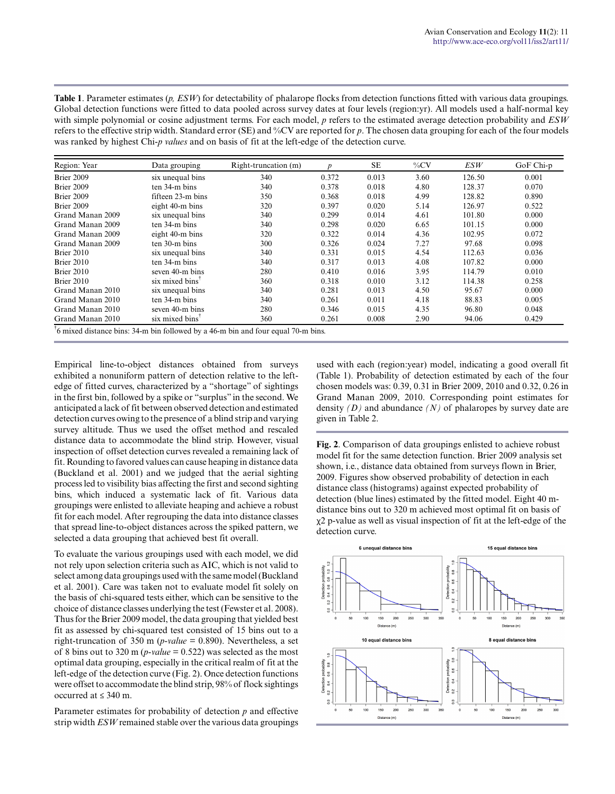**Table 1**. Parameter estimates (*p, ESW*) for detectability of phalarope flocks from detection functions fitted with various data groupings. Global detection functions were fitted to data pooled across survey dates at four levels (region:yr). All models used a half-normal key with simple polynomial or cosine adjustment terms. For each model, *p* refers to the estimated average detection probability and *ESW* refers to the effective strip width. Standard error (SE) and %CV are reported for *p*. The chosen data grouping for each of the four models was ranked by highest Chi-*p values* and on basis of fit at the left-edge of the detection curve.

| Region: Year     | Data grouping               | Right-truncation (m)                                                                          | $\boldsymbol{p}$ | SE    | $\%CV$ | ESW    | GoF Chi-p |
|------------------|-----------------------------|-----------------------------------------------------------------------------------------------|------------------|-------|--------|--------|-----------|
| Brier 2009       | six unequal bins            | 340                                                                                           | 0.372            | 0.013 | 3.60   | 126.50 | 0.001     |
| Brier 2009       | ten 34-m bins               | 340                                                                                           | 0.378            | 0.018 | 4.80   | 128.37 | 0.070     |
| Brier 2009       | fifteen 23-m bins           | 350                                                                                           | 0.368            | 0.018 | 4.99   | 128.82 | 0.890     |
| Brier 2009       | eight 40-m bins             | 320                                                                                           | 0.397            | 0.020 | 5.14   | 126.97 | 0.522     |
| Grand Manan 2009 | six unequal bins            | 340                                                                                           | 0.299            | 0.014 | 4.61   | 101.80 | 0.000     |
| Grand Manan 2009 | ten 34-m bins               | 340                                                                                           | 0.298            | 0.020 | 6.65   | 101.15 | 0.000     |
| Grand Manan 2009 | eight 40-m bins             | 320                                                                                           | 0.322            | 0.014 | 4.36   | 102.95 | 0.072     |
| Grand Manan 2009 | $ten 30-m bins$             | 300                                                                                           | 0.326            | 0.024 | 7.27   | 97.68  | 0.098     |
| Brier 2010       | six unequal bins            | 340                                                                                           | 0.331            | 0.015 | 4.54   | 112.63 | 0.036     |
| Brier 2010       | ten 34-m bins               | 340                                                                                           | 0.317            | 0.013 | 4.08   | 107.82 | 0.000     |
| Brier 2010       | seven 40-m bins             | 280                                                                                           | 0.410            | 0.016 | 3.95   | 114.79 | 0.010     |
| Brier 2010       | six mixed bins <sup>1</sup> | 360                                                                                           | 0.318            | 0.010 | 3.12   | 114.38 | 0.258     |
| Grand Manan 2010 | six unequal bins            | 340                                                                                           | 0.281            | 0.013 | 4.50   | 95.67  | 0.000     |
| Grand Manan 2010 | ten 34-m bins               | 340                                                                                           | 0.261            | 0.011 | 4.18   | 88.83  | 0.005     |
| Grand Manan 2010 | seven 40-m bins             | 280                                                                                           | 0.346            | 0.015 | 4.35   | 96.80  | 0.048     |
| Grand Manan 2010 | six mixed bins <sup>1</sup> | 360                                                                                           | 0.261            | 0.008 | 2.90   | 94.06  | 0.429     |
|                  |                             | <sup>7</sup> 6 mixed distance bins: 34-m bin followed by a 46-m bin and four equal 70-m bins. |                  |       |        |        |           |

Empirical line-to-object distances obtained from surveys exhibited a nonuniform pattern of detection relative to the leftedge of fitted curves, characterized by a "shortage" of sightings in the first bin, followed by a spike or "surplus" in the second. We anticipated a lack of fit between observed detection and estimated detection curves owing to the presence of a blind strip and varying survey altitude. Thus we used the offset method and rescaled distance data to accommodate the blind strip. However, visual inspection of offset detection curves revealed a remaining lack of fit. Rounding to favored values can cause heaping in distance data (Buckland et al. 2001) and we judged that the aerial sighting process led to visibility bias affecting the first and second sighting bins, which induced a systematic lack of fit. Various data groupings were enlisted to alleviate heaping and achieve a robust fit for each model. After regrouping the data into distance classes that spread line-to-object distances across the spiked pattern, we selected a data grouping that achieved best fit overall.

To evaluate the various groupings used with each model, we did not rely upon selection criteria such as AIC, which is not valid to select among data groupings used with the same model (Buckland et al. 2001). Care was taken not to evaluate model fit solely on the basis of chi-squared tests either, which can be sensitive to the choice of distance classes underlying the test (Fewster et al. 2008). Thus for the Brier 2009 model, the data grouping that yielded best fit as assessed by chi-squared test consisted of 15 bins out to a right-truncation of 350 m (*p-value* = 0.890). Nevertheless, a set of 8 bins out to 320 m ( $p$ -value = 0.522) was selected as the most optimal data grouping, especially in the critical realm of fit at the left-edge of the detection curve (Fig. 2). Once detection functions were offset to accommodate the blind strip, 98% of flock sightings occurred at ≤ 340 m.

Parameter estimates for probability of detection *p* and effective strip width *ESW* remained stable over the various data groupings used with each (region:year) model, indicating a good overall fit (Table 1). Probability of detection estimated by each of the four chosen models was: 0.39, 0.31 in Brier 2009, 2010 and 0.32, 0.26 in Grand Manan 2009, 2010. Corresponding point estimates for density *(D)* and abundance *(N)* of phalaropes by survey date are given in Table 2.

**Fig. 2**. Comparison of data groupings enlisted to achieve robust model fit for the same detection function. Brier 2009 analysis set shown, i.e., distance data obtained from surveys flown in Brier, 2009. Figures show observed probability of detection in each distance class (histograms) against expected probability of detection (blue lines) estimated by the fitted model. Eight 40 mdistance bins out to 320 m achieved most optimal fit on basis of χ2 p-value as well as visual inspection of fit at the left-edge of the detection curve.

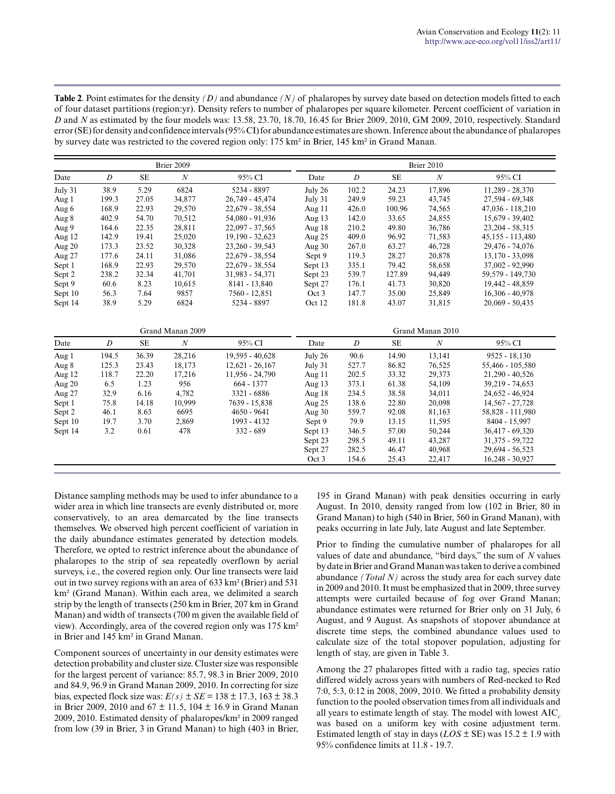| <b>Table 2.</b> Point estimates for the density $(D)$ and abundance $(N)$ of phalaropes by survey date based on detection models fitted to each |
|-------------------------------------------------------------------------------------------------------------------------------------------------|
| of four dataset partitions (region: yr). Density refers to number of phalaropes per square kilometer. Percent coefficient of variation in       |
| D and N as estimated by the four models was: 13.58, 23.70, 18.70, 16.45 for Brier 2009, 2010, GM 2009, 2010, respectively. Standard             |
| error (SE) for density and confidence intervals (95% CI) for abundance estimates are shown. Inference about the abundance of phalaropes         |
| by survey date was restricted to the covered region only: 175 km <sup>2</sup> in Brier, 145 km <sup>2</sup> in Grand Manan.                     |

| $\boldsymbol{D}$ | <b>SE</b> | $\boldsymbol{N}$ | 95% CI                         | Date     | $\boldsymbol{D}$ | <b>SE</b> | $\boldsymbol{N}$ | 95% CI                         |
|------------------|-----------|------------------|--------------------------------|----------|------------------|-----------|------------------|--------------------------------|
| 38.9             | 5.29      | 6824             | 5234 - 8897                    | July 26  | 102.2            | 24.23     | 17,896           | 11,289 - 28,370                |
| 199.3            | 27.05     | 34,877           | 26,749 - 45,474                | July 31  | 249.9            | 59.23     | 43,745           | 27.594 - 69.348                |
| 168.9            | 22.93     | 29,570           | 22,679 - 38,554                | Aug 11   | 426.0            | 100.96    | 74,565           | 47,036 - 118,210               |
| 402.9            | 54.70     | 70,512           | 54,080 - 91,936                | Aug 13   | 142.0            | 33.65     | 24,855           | 15,679 - 39,402                |
| 164.6            | 22.35     | 28,811           | 22,097 - 37,565                | Aug 18   | 210.2            | 49.80     | 36,786           | 23,204 - 58,315                |
| 142.9            | 19.41     | 25,020           | 19,190 - 32,623                | Aug $25$ | 409.0            | 96.92     | 71,583           | 45,155 - 113,480               |
| 173.3            | 23.52     | 30,328           | $23,260 - 39,543$              | Aug 30   | 267.0            | 63.27     | 46,728           | 29,476 - 74,076                |
| 177.6            | 24.11     | 31,086           | 22,679 - 38,554                | Sept 9   | 119.3            | 28.27     | 20,878           | 13,170 - 33,098                |
| 168.9            | 22.93     | 29,570           | 22,679 - 38,554                | Sept 13  | 335.1            | 79.42     | 58,658           | 37,002 - 92,990                |
| 238.2            | 32.34     | 41,701           | 31,983 - 54,371                | Sept 23  | 539.7            | 127.89    | 94,449           | 59,579 - 149,730               |
| 60.6             | 8.23      | 10,615           | 8141 - 13,840                  | Sept 27  | 176.1            | 41.73     | 30,820           | 19,442 - 48,859                |
| 56.3             | 7.64      | 9857             | 7560 - 12,851                  | Oct 3    | 147.7            | 35.00     | 25,849           | 16,306 - 40,978                |
| 38.9             | 5.29      | 6824             | 5234 - 8897                    | Oct 12   | 181.8            | 43.07     | 31,815           | $20.069 - 50.435$              |
|                  |           |                  |                                |          |                  |           |                  |                                |
|                  |           |                  |                                |          |                  |           |                  |                                |
| D                | <b>SE</b> | $\boldsymbol{N}$ | 95% CI                         | Date     | $\boldsymbol{D}$ | SE        | $\boldsymbol{N}$ | 95% CI                         |
| 194.5            | 36.39     | 28,216           | 19,595 - 40,628                | July 26  | 90.6             | 14.90     | 13,141           | $9525 - 18.130$                |
| 125.3            | 23.43     | 18,173           | $12,621 - 26,167$              | July 31  | 527.7            | 86.82     | 76,525           | 55,466 - 105,580               |
| 118.7            | 22.20     | 17,216           | 11,956 - 24,790                | Aug 11   | 202.5            | 33.32     | 29,373           | 21,290 - 40,526                |
| 6.5              | 1.23      | 956              | 664 - 1377                     | Aug 13   | 373.1            | 61.38     | 54,109           | 39,219 - 74,653                |
| 32.9             | 6.16      | 4,782            | 3321 - 6886                    | Aug 18   | 234.5            | 38.58     | 34,011           | 24,652 - 46,924                |
| 75.8             | 14.18     | 10,999           | 7639 - 15,838                  | Aug 25   | 138.6            | 22.80     | 20,098           | 14,567 - 27,728                |
| 46.1             | 8.63      | 6695             | $4650 - 9641$                  | Aug 30   | 559.7            | 92.08     | 81,163           | 58,828 - 111,980               |
| 19.7             | 3.70      | 2,869            | 1993 - 4132                    | Sept 9   | 79.9             | 13.15     | 11,595           | 8404 - 15,997                  |
| 3.2              | 0.61      | 478              | $332 - 689$                    | Sept 13  | 346.5            | 57.00     | 50,244           | 36,417 - 69,320                |
|                  |           |                  |                                | Sept 23  | 298.5            | 49.11     | 43,287           | 31,375 - 59,722                |
|                  |           |                  |                                | Sept 27  | 282.5            | 46.47     | 40,968           | 29,694 - 56,523                |
|                  |           |                  |                                | Oct 3    | 154.6            | 25.43     | 22,417           | 16,248 - 30,927                |
|                  |           |                  | Brier 2009<br>Grand Manan 2009 |          |                  |           |                  | Brier 2010<br>Grand Manan 2010 |

Distance sampling methods may be used to infer abundance to a wider area in which line transects are evenly distributed or, more conservatively, to an area demarcated by the line transects themselves. We observed high percent coefficient of variation in the daily abundance estimates generated by detection models. Therefore, we opted to restrict inference about the abundance of phalaropes to the strip of sea repeatedly overflown by aerial surveys, i.e., the covered region only. Our line transects were laid out in two survey regions with an area of 633 km² (Brier) and 531 km² (Grand Manan). Within each area, we delimited a search strip by the length of transects (250 km in Brier, 207 km in Grand Manan) and width of transects (700 m given the available field of view). Accordingly, area of the covered region only was 175 km² in Brier and 145 km² in Grand Manan.

Component sources of uncertainty in our density estimates were detection probability and cluster size. Cluster size was responsible for the largest percent of variance: 85.7, 98.3 in Brier 2009, 2010 and 84.9, 96.9 in Grand Manan 2009, 2010. In correcting for size bias, expected flock size was:  $E(s) \pm SE = 138 \pm 17.3$ ,  $163 \pm 38.3$ in Brier 2009, 2010 and  $67 \pm 11.5$ , 104  $\pm$  16.9 in Grand Manan 2009, 2010. Estimated density of phalaropes/km² in 2009 ranged from low (39 in Brier, 3 in Grand Manan) to high (403 in Brier,

195 in Grand Manan) with peak densities occurring in early August. In 2010, density ranged from low (102 in Brier, 80 in Grand Manan) to high (540 in Brier, 560 in Grand Manan), with peaks occurring in late July, late August and late September.

Prior to finding the cumulative number of phalaropes for all values of date and abundance, "bird days," the sum of *N* values by date in Brier and Grand Manan was taken to derive a combined abundance *(Total N)* across the study area for each survey date in 2009 and 2010. It must be emphasized that in 2009, three survey attempts were curtailed because of fog over Grand Manan; abundance estimates were returned for Brier only on 31 July, 6 August, and 9 August. As snapshots of stopover abundance at discrete time steps, the combined abundance values used to calculate size of the total stopover population, adjusting for length of stay, are given in Table 3.

Among the 27 phalaropes fitted with a radio tag, species ratio differed widely across years with numbers of Red-necked to Red 7:0, 5:3, 0:12 in 2008, 2009, 2010. We fitted a probability density function to the pooled observation times from all individuals and all years to estimate length of stay. The model with lowest AIC*<sup>c</sup>* was based on a uniform key with cosine adjustment term. Estimated length of stay in days (*LOS* ± SE) was 15.2 ± 1.9 with 95% confidence limits at 11.8 - 19.7.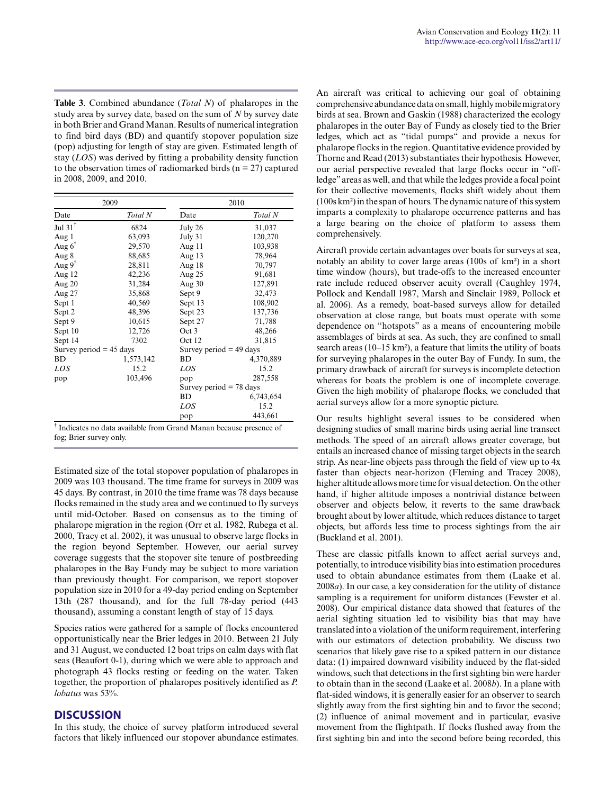**Table 3**. Combined abundance (*Total N*) of phalaropes in the study area by survey date, based on the sum of *N* by survey date in both Brier and Grand Manan. Results of numerical integration to find bird days (BD) and quantify stopover population size (pop) adjusting for length of stay are given. Estimated length of stay (*LOS*) was derived by fitting a probability density function to the observation times of radiomarked birds ( $n = 27$ ) captured in 2008, 2009, and 2010.

| 2009      |                           | 2010                      |  |  |
|-----------|---------------------------|---------------------------|--|--|
| Total N   | Date                      | Total N                   |  |  |
| 6824      | July 26                   | 31,037                    |  |  |
| 63,093    | July 31                   | 120,270                   |  |  |
| 29,570    | Aug 11                    | 103,938                   |  |  |
| 88,685    | Aug $13$                  | 78,964                    |  |  |
| 28,811    | Aug 18                    | 70,797                    |  |  |
| 42,236    | Aug 25                    | 91,681                    |  |  |
| 31,284    | Aug $30$                  | 127,891                   |  |  |
| 35,868    | Sept 9                    | 32,473                    |  |  |
| 40,569    | Sept 13                   | 108,902                   |  |  |
| 48,396    | Sept 23                   | 137,736                   |  |  |
| 10,615    | Sept 27                   | 71,788                    |  |  |
| 12,726    | Oct 3                     | 48,266                    |  |  |
| 7302      | Oct 12                    | 31,815                    |  |  |
|           | Survey period $=$ 49 days |                           |  |  |
| 1,573,142 | <b>BD</b>                 | 4,370,889                 |  |  |
| 15.2      | LOS                       | 15.2                      |  |  |
| 103,496   | pop                       | 287,558                   |  |  |
|           |                           | Survey period $= 78$ days |  |  |
|           | BD                        | 6,743,654                 |  |  |
|           | LOS                       | 15.2                      |  |  |
|           | pop                       | 443,661                   |  |  |
|           | Survey period $=$ 45 days |                           |  |  |

fog; Brier survey only.

Estimated size of the total stopover population of phalaropes in 2009 was 103 thousand. The time frame for surveys in 2009 was 45 days. By contrast, in 2010 the time frame was 78 days because flocks remained in the study area and we continued to fly surveys until mid-October. Based on consensus as to the timing of phalarope migration in the region (Orr et al. 1982, Rubega et al. 2000, Tracy et al. 2002), it was unusual to observe large flocks in the region beyond September. However, our aerial survey coverage suggests that the stopover site tenure of postbreeding phalaropes in the Bay Fundy may be subject to more variation than previously thought. For comparison, we report stopover population size in 2010 for a 49-day period ending on September 13th (287 thousand), and for the full 78-day period (443 thousand), assuming a constant length of stay of 15 days.

Species ratios were gathered for a sample of flocks encountered opportunistically near the Brier ledges in 2010. Between 21 July and 31 August, we conducted 12 boat trips on calm days with flat seas (Beaufort 0-1), during which we were able to approach and photograph 43 flocks resting or feeding on the water. Taken together, the proportion of phalaropes positively identified as *P. lobatus* was 53%.

#### **DISCUSSION**

In this study, the choice of survey platform introduced several factors that likely influenced our stopover abundance estimates. An aircraft was critical to achieving our goal of obtaining comprehensive abundance data on small, highly mobile migratory birds at sea. Brown and Gaskin (1988) characterized the ecology phalaropes in the outer Bay of Fundy as closely tied to the Brier ledges, which act as "tidal pumps" and provide a nexus for phalarope flocks in the region. Quantitative evidence provided by Thorne and Read (2013) substantiates their hypothesis. However, our aerial perspective revealed that large flocks occur in "offledge" areas as well, and that while the ledges provide a focal point for their collective movements, flocks shift widely about them (100s km²) in the span of hours. The dynamic nature of this system imparts a complexity to phalarope occurrence patterns and has a large bearing on the choice of platform to assess them comprehensively.

Aircraft provide certain advantages over boats for surveys at sea, notably an ability to cover large areas (100s of km²) in a short time window (hours), but trade-offs to the increased encounter rate include reduced observer acuity overall (Caughley 1974, Pollock and Kendall 1987, Marsh and Sinclair 1989, Pollock et al. 2006). As a remedy, boat-based surveys allow for detailed observation at close range, but boats must operate with some dependence on "hotspots" as a means of encountering mobile assemblages of birds at sea. As such, they are confined to small search areas (10–15 km²), a feature that limits the utility of boats for surveying phalaropes in the outer Bay of Fundy. In sum, the primary drawback of aircraft for surveys is incomplete detection whereas for boats the problem is one of incomplete coverage. Given the high mobility of phalarope flocks, we concluded that aerial surveys allow for a more synoptic picture.

Our results highlight several issues to be considered when designing studies of small marine birds using aerial line transect methods. The speed of an aircraft allows greater coverage, but entails an increased chance of missing target objects in the search strip. As near-line objects pass through the field of view up to 4x faster than objects near-horizon (Fleming and Tracey 2008), higher altitude allows more time for visual detection. On the other hand, if higher altitude imposes a nontrivial distance between observer and objects below, it reverts to the same drawback brought about by lower altitude, which reduces distance to target objects, but affords less time to process sightings from the air (Buckland et al. 2001).

These are classic pitfalls known to affect aerial surveys and, potentially, to introduce visibility bias into estimation procedures used to obtain abundance estimates from them (Laake et al. 2008*a*). In our case, a key consideration for the utility of distance sampling is a requirement for uniform distances (Fewster et al. 2008). Our empirical distance data showed that features of the aerial sighting situation led to visibility bias that may have translated into a violation of the uniform requirement, interfering with our estimators of detection probability. We discuss two scenarios that likely gave rise to a spiked pattern in our distance data: (1) impaired downward visibility induced by the flat-sided windows, such that detections in the first sighting bin were harder to obtain than in the second (Laake et al. 2008*b*). In a plane with flat-sided windows, it is generally easier for an observer to search slightly away from the first sighting bin and to favor the second; (2) influence of animal movement and in particular, evasive movement from the flightpath. If flocks flushed away from the first sighting bin and into the second before being recorded, this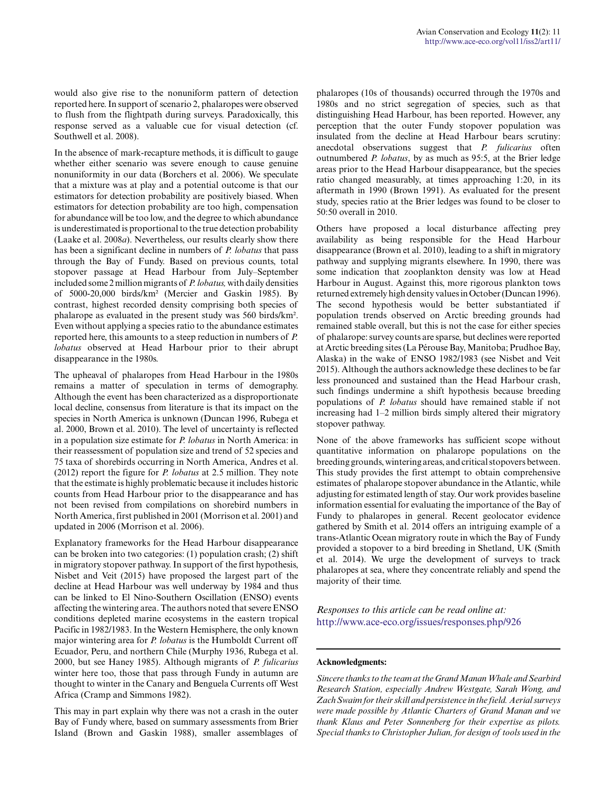would also give rise to the nonuniform pattern of detection reported here. In support of scenario 2, phalaropes were observed to flush from the flightpath during surveys. Paradoxically, this response served as a valuable cue for visual detection (cf. Southwell et al. 2008).

In the absence of mark-recapture methods, it is difficult to gauge whether either scenario was severe enough to cause genuine nonuniformity in our data (Borchers et al. 2006). We speculate that a mixture was at play and a potential outcome is that our estimators for detection probability are positively biased. When estimators for detection probability are too high, compensation for abundance will be too low, and the degree to which abundance is underestimated is proportional to the true detection probability (Laake et al. 2008*a*). Nevertheless, our results clearly show there has been a significant decline in numbers of *P. lobatus* that pass through the Bay of Fundy. Based on previous counts, total stopover passage at Head Harbour from July–September included some 2 million migrants of *P. lobatus,* with daily densities of 5000-20,000 birds/km² (Mercier and Gaskin 1985). By contrast, highest recorded density comprising both species of phalarope as evaluated in the present study was 560 birds/km². Even without applying a species ratio to the abundance estimates reported here, this amounts to a steep reduction in numbers of *P. lobatus* observed at Head Harbour prior to their abrupt disappearance in the 1980s.

The upheaval of phalaropes from Head Harbour in the 1980s remains a matter of speculation in terms of demography. Although the event has been characterized as a disproportionate local decline, consensus from literature is that its impact on the species in North America is unknown (Duncan 1996, Rubega et al. 2000, Brown et al. 2010). The level of uncertainty is reflected in a population size estimate for *P. lobatus* in North America: in their reassessment of population size and trend of 52 species and 75 taxa of shorebirds occurring in North America, Andres et al. (2012) report the figure for *P. lobatus* at 2.5 million. They note that the estimate is highly problematic because it includes historic counts from Head Harbour prior to the disappearance and has not been revised from compilations on shorebird numbers in North America, first published in 2001 (Morrison et al. 2001) and updated in 2006 (Morrison et al. 2006).

Explanatory frameworks for the Head Harbour disappearance can be broken into two categories: (1) population crash; (2) shift in migratory stopover pathway. In support of the first hypothesis, Nisbet and Veit (2015) have proposed the largest part of the decline at Head Harbour was well underway by 1984 and thus can be linked to El Nino-Southern Oscillation (ENSO) events affecting the wintering area. The authors noted that severe ENSO conditions depleted marine ecosystems in the eastern tropical Pacific in 1982/1983. In the Western Hemisphere, the only known major wintering area for *P. lobatus* is the Humboldt Current off Ecuador, Peru, and northern Chile (Murphy 1936, Rubega et al. 2000, but see Haney 1985). Although migrants of *P. fulicarius* winter here too, those that pass through Fundy in autumn are thought to winter in the Canary and Benguela Currents off West Africa (Cramp and Simmons 1982).

This may in part explain why there was not a crash in the outer Bay of Fundy where, based on summary assessments from Brier Island (Brown and Gaskin 1988), smaller assemblages of

phalaropes (10s of thousands) occurred through the 1970s and 1980s and no strict segregation of species, such as that distinguishing Head Harbour, has been reported. However, any perception that the outer Fundy stopover population was insulated from the decline at Head Harbour bears scrutiny: anecdotal observations suggest that *P. fulicarius* often outnumbered *P. lobatus*, by as much as 95:5, at the Brier ledge areas prior to the Head Harbour disappearance, but the species ratio changed measurably, at times approaching 1:20, in its aftermath in 1990 (Brown 1991). As evaluated for the present study, species ratio at the Brier ledges was found to be closer to 50:50 overall in 2010.

Others have proposed a local disturbance affecting prey availability as being responsible for the Head Harbour disappearance (Brown et al. 2010), leading to a shift in migratory pathway and supplying migrants elsewhere. In 1990, there was some indication that zooplankton density was low at Head Harbour in August. Against this, more rigorous plankton tows returned extremely high density values in October (Duncan 1996). The second hypothesis would be better substantiated if population trends observed on Arctic breeding grounds had remained stable overall, but this is not the case for either species of phalarope: survey counts are sparse, but declines were reported at Arctic breeding sites (La Pérouse Bay, Manitoba; Prudhoe Bay, Alaska) in the wake of ENSO 1982/1983 (see Nisbet and Veit 2015). Although the authors acknowledge these declines to be far less pronounced and sustained than the Head Harbour crash, such findings undermine a shift hypothesis because breeding populations of *P. lobatus* should have remained stable if not increasing had 1–2 million birds simply altered their migratory stopover pathway.

None of the above frameworks has sufficient scope without quantitative information on phalarope populations on the breeding grounds, wintering areas, and critical stopovers between. This study provides the first attempt to obtain comprehensive estimates of phalarope stopover abundance in the Atlantic, while adjusting for estimated length of stay. Our work provides baseline information essential for evaluating the importance of the Bay of Fundy to phalaropes in general. Recent geolocator evidence gathered by Smith et al. 2014 offers an intriguing example of a trans-Atlantic Ocean migratory route in which the Bay of Fundy provided a stopover to a bird breeding in Shetland, UK (Smith et al. 2014). We urge the development of surveys to track phalaropes at sea, where they concentrate reliably and spend the majority of their time.

*Responses to this article can be read online at:* <http://www.ace-eco.org/issues/responses.php/926>

#### **Acknowledgments:**

*Sincere thanks to the team at the Grand Manan Whale and Searbird Research Station, especially Andrew Westgate, Sarah Wong, and Zach Swaim for their skill and persistence in the field. Aerial surveys were made possible by Atlantic Charters of Grand Manan and we thank Klaus and Peter Sonnenberg for their expertise as pilots. Special thanks to Christopher Julian, for design of tools used in the*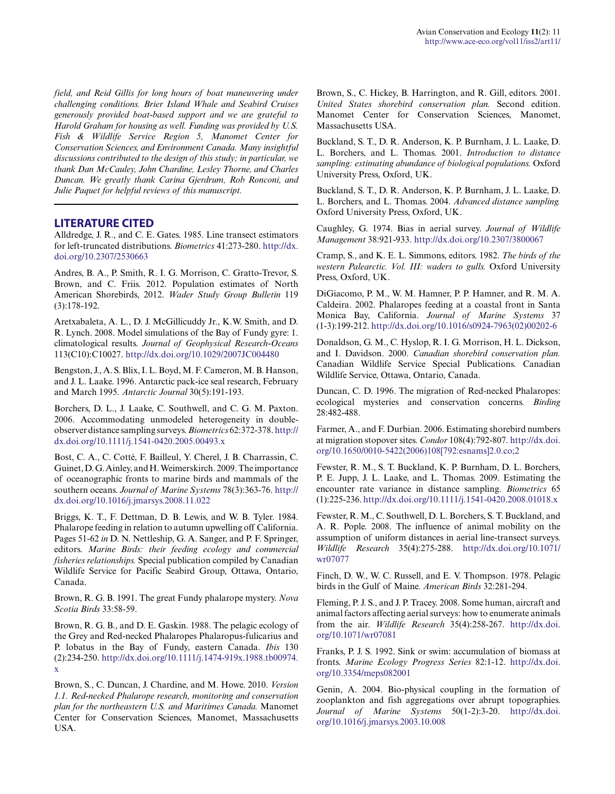*field, and Reid Gillis for long hours of boat maneuvering under challenging conditions. Brier Island Whale and Seabird Cruises generously provided boat-based support and we are grateful to Harold Graham for housing as well. Funding was provided by U.S. Fish & Wildlife Service Region 5, Manomet Center for Conservation Sciences, and Environment Canada. Many insightful discussions contributed to the design of this study; in particular, we thank Dan McCauley, John Chardine, Lesley Thorne, and Charles Duncan. We greatly thank Carina Gjerdrum, Rob Ronconi, and Julie Paquet for helpful reviews of this manuscript.*

#### **LITERATURE CITED**

Alldredge, J. R., and C. E. Gates. 1985. Line transect estimators for left-truncated distributions. *Biometrics* 41:273-280. [http://dx.](http://dx.doi.org/10.2307%2F2530663) [doi.org/10.2307/2530663](http://dx.doi.org/10.2307%2F2530663) 

Andres, B. A., P. Smith, R. I. G. Morrison, C. Gratto-Trevor, S. Brown, and C. Friis. 2012. Population estimates of North American Shorebirds, 2012. *Wader Study Group Bulletin* 119 (3):178-192.

Aretxabaleta, A. L., D. J. McGillicuddy Jr., K.W. Smith, and D. R. Lynch. 2008. Model simulations of the Bay of Fundy gyre: 1. climatological results. *Journal of Geophysical Research-Oceans* 113(C10):C10027. [http://dx.doi.org/10.1029/2007JC004480](http://dx.doi.org/10.1029%2F2007JC004480) 

Bengston, J., A. S. Blix, I. L. Boyd, M. F. Cameron, M. B. Hanson, and J. L. Laake. 1996. Antarctic pack-ice seal research, February and March 1995. *Antarctic Journal* 30(5):191-193.

Borchers, D. L., J. Laake, C. Southwell, and C. G. M. Paxton. 2006. Accommodating unmodeled heterogeneity in doubleobserver distance sampling surveys. *Biometrics* 62:372-378. [http://](http://dx.doi.org/10.1111%2Fj.1541-0420.2005.00493.x) [dx.doi.org/10.1111/j.1541-0420.2005.00493.x](http://dx.doi.org/10.1111%2Fj.1541-0420.2005.00493.x)

Bost, C. A., C. Cotté, F. Bailleul, Y. Cherel, J. B. Charrassin, C. Guinet, D. G. Ainley, and H. Weimerskirch. 2009. The importance of oceanographic fronts to marine birds and mammals of the southern oceans. *Journal of Marine Systems* 78(3):363-76. [http://](http://dx.doi.org/10.1016%2Fj.jmarsys.2008.11.022) [dx.doi.org/10.1016/j.jmarsys.2008.11.022](http://dx.doi.org/10.1016%2Fj.jmarsys.2008.11.022)

Briggs, K. T., F. Dettman, D. B. Lewis, and W. B. Tyler. 1984. Phalarope feeding in relation to autumn upwelling off California. Pages 51-62 *in* D. N. Nettleship, G. A. Sanger, and P. F. Springer, editors. *Marine Birds: their feeding ecology and commercial fisheries relationships.* Special publication compiled by Canadian Wildlife Service for Pacific Seabird Group, Ottawa, Ontario, Canada.

Brown, R. G. B. 1991. The great Fundy phalarope mystery. *Nova Scotia Birds* 33:58-59.

Brown, R. G. B., and D. E. Gaskin. 1988. The pelagic ecology of the Grey and Red-necked Phalaropes Phalaropus-fulicarius and P. lobatus in the Bay of Fundy, eastern Canada. *Ibis* 130 (2):234-250. [http://dx.doi.org/10.1111/j.1474-919x.1988.tb00974.](http://dx.doi.org/10.1111%2Fj.1474-919x.1988.tb00974.x) [x](http://dx.doi.org/10.1111%2Fj.1474-919x.1988.tb00974.x)

Brown, S., C. Duncan, J. Chardine, and M. Howe. 2010. *Version 1.1. Red-necked Phalarope research, monitoring and conservation plan for the northeastern U.S. and Maritimes Canada.* Manomet Center for Conservation Sciences, Manomet, Massachusetts USA.

Brown, S., C. Hickey, B. Harrington, and R. Gill, editors. 2001. *United States shorebird conservation plan.* Second edition. Manomet Center for Conservation Sciences, Manomet, Massachusetts USA.

Buckland, S. T., D. R. Anderson, K. P. Burnham, J. L. Laake, D. L. Borchers, and L. Thomas. 2001. *Introduction to distance sampling: estimating abundance of biological populations.* Oxford University Press, Oxford, UK.

Buckland, S. T., D. R. Anderson, K. P. Burnham, J. L. Laake, D. L. Borchers, and L. Thomas. 2004. *Advanced distance sampling.* Oxford University Press, Oxford, UK.

Caughley, G. 1974. Bias in aerial survey. *Journal of Wildlife Management* 38:921-933. [http://dx.doi.org/10.2307/3800067](http://dx.doi.org/10.2307%2F3800067)

Cramp, S., and K. E. L. Simmons, editors. 1982. *The birds of the western Palearctic. Vol. III: waders to gulls.* Oxford University Press, Oxford, UK.

DiGiacomo, P. M., W. M. Hamner, P. P. Hamner, and R. M. A. Caldeira. 2002. Phalaropes feeding at a coastal front in Santa Monica Bay, California. *Journal of Marine Systems* 37 (1-3):199-212. [http://dx.doi.org/10.1016/s0924-7963\(02\)00202-6](http://dx.doi.org/10.1016%2Fs0924-7963%2802%2900202-6)

Donaldson, G. M., C. Hyslop, R. I. G. Morrison, H. L. Dickson, and I. Davidson. 2000. *Canadian shorebird conservation plan.* Canadian Wildlife Service Special Publications. Canadian Wildlife Service, Ottawa, Ontario, Canada.

Duncan, C. D. 1996. The migration of Red-necked Phalaropes: ecological mysteries and conservation concerns. *Birding* 28:482-488.

Farmer, A., and F. Durbian. 2006. Estimating shorebird numbers at migration stopover sites. *Condor* 108(4):792-807. [http://dx.doi.](http://dx.doi.org/10.1650%2F0010-5422%282006%29108%5B792%3Aesnams%5D2.0.co%3B2) [org/10.1650/0010-5422\(2006\)108\[792:esnams\]2.0.co;2](http://dx.doi.org/10.1650%2F0010-5422%282006%29108%5B792%3Aesnams%5D2.0.co%3B2) 

Fewster, R. M., S. T. Buckland, K. P. Burnham, D. L. Borchers, P. E. Jupp, J. L. Laake, and L. Thomas. 2009. Estimating the encounter rate variance in distance sampling. *Biometrics* 65 (1):225-236. [http://dx.doi.org/10.1111/j.1541-0420.2008.01018.x](http://dx.doi.org/10.1111%2Fj.1541-0420.2008.01018.x)

Fewster, R. M., C. Southwell, D. L. Borchers, S. T. Buckland, and A. R. Pople. 2008. The influence of animal mobility on the assumption of uniform distances in aerial line-transect surveys. *Wildlife Research* 35(4):275-288. [http://dx.doi.org/10.1071/](http://dx.doi.org/10.1071%2Fwr07077) [wr07077](http://dx.doi.org/10.1071%2Fwr07077)

Finch, D. W., W. C. Russell, and E. V. Thompson. 1978. Pelagic birds in the Gulf of Maine. *American Birds* 32:281-294.

Fleming, P. J. S., and J. P. Tracey. 2008. Some human, aircraft and animal factors affecting aerial surveys: how to enumerate animals from the air. *Wildlife Research* 35(4):258-267. [http://dx.doi.](http://dx.doi.org/10.1071%2Fwr07081) [org/10.1071/wr07081](http://dx.doi.org/10.1071%2Fwr07081) 

Franks, P. J. S. 1992. Sink or swim: accumulation of biomass at fronts. *Marine Ecology Progress Series* 82:1-12. [http://dx.doi.](http://dx.doi.org/10.3354%2Fmeps082001) [org/10.3354/meps082001](http://dx.doi.org/10.3354%2Fmeps082001) 

Genin, A. 2004. Bio-physical coupling in the formation of zooplankton and fish aggregations over abrupt topographies. *Journal of Marine Systems* 50(1-2):3-20. [http://dx.doi.](http://dx.doi.org/10.1016%2Fj.jmarsys.2003.10.008) [org/10.1016/j.jmarsys.2003.10.008](http://dx.doi.org/10.1016%2Fj.jmarsys.2003.10.008)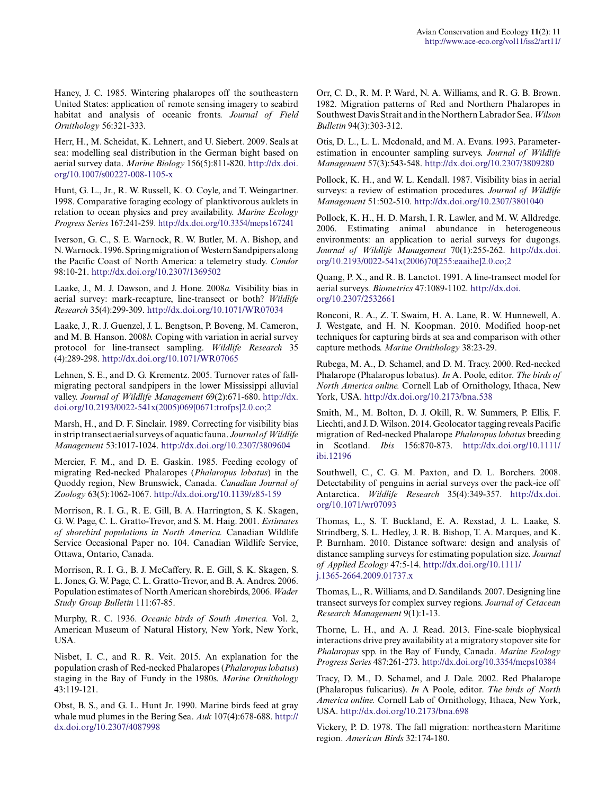Haney, J. C. 1985. Wintering phalaropes off the southeastern United States: application of remote sensing imagery to seabird habitat and analysis of oceanic fronts. *Journal of Field Ornithology* 56:321-333.

Herr, H., M. Scheidat, K. Lehnert, and U. Siebert. 2009. Seals at sea: modelling seal distribution in the German bight based on aerial survey data. *Marine Biology* 156(5):811-820. [http://dx.doi.](http://dx.doi.org/10.1007%2Fs00227-008-1105-x) [org/10.1007/s00227-008-1105-x](http://dx.doi.org/10.1007%2Fs00227-008-1105-x)

Hunt, G. L., Jr., R. W. Russell, K. O. Coyle, and T. Weingartner. 1998. Comparative foraging ecology of planktivorous auklets in relation to ocean physics and prey availability. *Marine Ecology Progress Series* 167:241-259. [http://dx.doi.org/10.3354/meps167241](http://dx.doi.org/10.3354%2Fmeps167241) 

Iverson, G. C., S. E. Warnock, R. W. Butler, M. A. Bishop, and N. Warnock. 1996. Spring migration of Western Sandpipers along the Pacific Coast of North America: a telemetry study. *Condor* 98:10-21. [http://dx.doi.org/10.2307/1369502](http://dx.doi.org/10.2307%2F1369502) 

Laake, J., M. J. Dawson, and J. Hone. 2008*a.* Visibility bias in aerial survey: mark-recapture, line-transect or both? *Wildlife Research* 35(4):299-309. [http://dx.doi.org/10.1071/WR07034](http://dx.doi.org/10.1071%2FWR07034)

Laake, J., R. J. Guenzel, J. L. Bengtson, P. Boveng, M. Cameron, and M. B. Hanson. 2008*b.* Coping with variation in aerial survey protocol for line-transect sampling. *Wildlife Research* 35 (4):289-298. [http://dx.doi.org/10.1071/WR07065](http://dx.doi.org/10.1071%2FWR07065)

Lehnen, S. E., and D. G. Krementz. 2005. Turnover rates of fallmigrating pectoral sandpipers in the lower Mississippi alluvial valley. *Journal of Wildlife Management* 69(2):671-680. [http://dx.](http://dx.doi.org/10.2193%2F0022-541x%282005%29069%5B0671%3Atrofps%5D2.0.co%3B2) [doi.org/10.2193/0022-541x\(2005\)069\[0671:trofps\]2.0.co;2](http://dx.doi.org/10.2193%2F0022-541x%282005%29069%5B0671%3Atrofps%5D2.0.co%3B2)

Marsh, H., and D. F. Sinclair. 1989. Correcting for visibility bias in strip transect aerial surveys of aquatic fauna. *Journal of Wildlife Management* 53:1017-1024. [http://dx.doi.org/10.2307/3809604](http://dx.doi.org/10.2307%2F3809604)

Mercier, F. M., and D. E. Gaskin. 1985. Feeding ecology of migrating Red-necked Phalaropes (*Phalaropus lobatus*) in the Quoddy region, New Brunswick, Canada. *Canadian Journal of Zoology* 63(5):1062-1067. [http://dx.doi.org/10.1139/z85-159](http://dx.doi.org/10.1139%2Fz85-159) 

Morrison, R. I. G., R. E. Gill, B. A. Harrington, S. K. Skagen, G. W. Page, C. L. Gratto-Trevor, and S. M. Haig. 2001. *Estimates of shorebird populations in North America.* Canadian Wildlife Service Occasional Paper no. 104. Canadian Wildlife Service, Ottawa, Ontario, Canada.

Morrison, R. I. G., B. J. McCaffery, R. E. Gill, S. K. Skagen, S. L. Jones, G. W. Page, C. L. Gratto-Trevor, and B. A. Andres. 2006. Population estimates of North American shorebirds, 2006. *Wader Study Group Bulletin* 111:67-85.

Murphy, R. C. 1936. *Oceanic birds of South America.* Vol. 2, American Museum of Natural History, New York, New York, USA.

Nisbet, I. C., and R. R. Veit. 2015. An explanation for the population crash of Red-necked Phalaropes (*Phalaropus lobatus*) staging in the Bay of Fundy in the 1980s. *Marine Ornithology* 43:119-121.

Obst, B. S., and G. L. Hunt Jr. 1990. Marine birds feed at gray whale mud plumes in the Bering Sea. *Auk* 107(4):678-688. [http://](http://dx.doi.org/10.2307%2F4087998) [dx.doi.org/10.2307/4087998](http://dx.doi.org/10.2307%2F4087998)

Orr, C. D., R. M. P. Ward, N. A. Williams, and R. G. B. Brown. 1982. Migration patterns of Red and Northern Phalaropes in Southwest Davis Strait and in the Northern Labrador Sea. *Wilson Bulletin* 94(3):303-312.

Otis, D. L., L. L. Mcdonald, and M. A. Evans. 1993. Parameterestimation in encounter sampling surveys. *Journal of Wildlife Management* 57(3):543-548. [http://dx.doi.org/10.2307/3809280](http://dx.doi.org/10.2307%2F3809280) 

Pollock, K. H., and W. L. Kendall. 1987. Visibility bias in aerial surveys: a review of estimation procedures. *Journal of Wildlife Management* 51:502-510. [http://dx.doi.org/10.2307/3801040](http://dx.doi.org/10.2307%2F3801040)

Pollock, K. H., H. D. Marsh, I. R. Lawler, and M. W. Alldredge. 2006. Estimating animal abundance in heterogeneous environments: an application to aerial surveys for dugongs. *Journal of Wildlife Management* 70(1):255-262. [http://dx.doi.](http://dx.doi.org/10.2193%2F0022-541x%282006%2970%5B255%3Aeaaihe%5D2.0.co%3B2) [org/10.2193/0022-541x\(2006\)70\[255:eaaihe\]2.0.co;2](http://dx.doi.org/10.2193%2F0022-541x%282006%2970%5B255%3Aeaaihe%5D2.0.co%3B2)

Quang, P. X., and R. B. Lanctot. 1991. A line-transect model for aerial surveys. *Biometrics* 47:1089-1102. [http://dx.doi.](http://dx.doi.org/10.2307%2F2532661) [org/10.2307/2532661](http://dx.doi.org/10.2307%2F2532661) 

Ronconi, R. A., Z. T. Swaim, H. A. Lane, R. W. Hunnewell, A. J. Westgate, and H. N. Koopman. 2010. Modified hoop-net techniques for capturing birds at sea and comparison with other capture methods. *Marine Ornithology* 38:23-29.

Rubega, M. A., D. Schamel, and D. M. Tracy. 2000. Red-necked Phalarope (Phalaropus lobatus). *In* A. Poole, editor. *The birds of North America online.* Cornell Lab of Ornithology, Ithaca, New York, USA. <http://dx.doi.org/10.2173/bna.538>

Smith, M., M. Bolton, D. J. Okill, R. W. Summers, P. Ellis, F. Liechti, and J. D. Wilson. 2014. Geolocator tagging reveals Pacific migration of Red-necked Phalarope *Phalaropus lobatus* breeding in Scotland. *Ibis* 156:870-873. [http://dx.doi.org/10.1111/](http://dx.doi.org/10.1111%2Fibi.12196) [ibi.12196](http://dx.doi.org/10.1111%2Fibi.12196) 

Southwell, C., C. G. M. Paxton, and D. L. Borchers. 2008. Detectability of penguins in aerial surveys over the pack-ice off Antarctica. *Wildlife Research* 35(4):349-357. [http://dx.doi.](http://dx.doi.org/10.1071%2Fwr07093) [org/10.1071/wr07093](http://dx.doi.org/10.1071%2Fwr07093) 

Thomas, L., S. T. Buckland, E. A. Rexstad, J. L. Laake, S. Strindberg, S. L. Hedley, J. R. B. Bishop, T. A. Marques, and K. P. Burnham. 2010. Distance software: design and analysis of distance sampling surveys for estimating population size. *Journal of Applied Ecology* 47:5-14. [http://dx.doi.org/10.1111/](http://dx.doi.org/10.1111%2Fj.1365-2664.2009.01737.x) [j.1365-2664.2009.01737.x](http://dx.doi.org/10.1111%2Fj.1365-2664.2009.01737.x)

Thomas, L., R. Williams, and D. Sandilands. 2007. Designing line transect surveys for complex survey regions. *Journal of Cetacean Research Management* 9(1):1-13.

Thorne, L. H., and A. J. Read. 2013. Fine-scale biophysical interactions drive prey availability at a migratory stopover site for *Phalaropus* spp. in the Bay of Fundy, Canada. *Marine Ecology Progress Series* 487:261-273. [http://dx.doi.org/10.3354/meps10384](http://dx.doi.org/10.3354%2Fmeps10384) 

Tracy, D. M., D. Schamel, and J. Dale. 2002. Red Phalarope (Phalaropus fulicarius). *In* A Poole, editor. *The birds of North America online.* Cornell Lab of Ornithology, Ithaca, New York, USA. [http://dx.doi.org/10.2173/bna.698](http://dx.doi.org/10.2173%2Fbna.698) 

Vickery, P. D. 1978. The fall migration: northeastern Maritime region. *American Birds* 32:174-180.